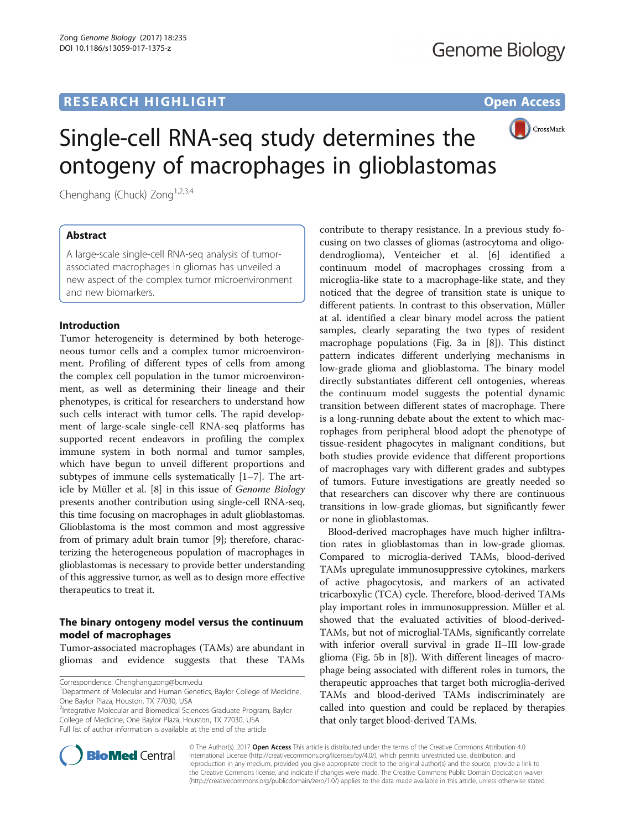# **RESEARCH HIGHLIGHT CONSUMING THE OPEN ACCESS**



# Single-cell RNA-seq study determines the ontogeny of macrophages in glioblastomas

Chenghang (Chuck) Zong<sup>1,2,3,4</sup>

# Abstract

A large-scale single-cell RNA-seq analysis of tumorassociated macrophages in gliomas has unveiled a new aspect of the complex tumor microenvironment and new biomarkers.

# Introduction

Tumor heterogeneity is determined by both heterogeneous tumor cells and a complex tumor microenvironment. Profiling of different types of cells from among the complex cell population in the tumor microenvironment, as well as determining their lineage and their phenotypes, is critical for researchers to understand how such cells interact with tumor cells. The rapid development of large-scale single-cell RNA-seq platforms has supported recent endeavors in profiling the complex immune system in both normal and tumor samples, which have begun to unveil different proportions and subtypes of immune cells systematically [[1](#page-1-0)–[7\]](#page-1-0). The article by Müller et al. [[8\]](#page-1-0) in this issue of Genome Biology presents another contribution using single-cell RNA-seq, this time focusing on macrophages in adult glioblastomas. Glioblastoma is the most common and most aggressive from of primary adult brain tumor [[9\]](#page-2-0); therefore, characterizing the heterogeneous population of macrophages in glioblastomas is necessary to provide better understanding of this aggressive tumor, as well as to design more effective therapeutics to treat it.

# The binary ontogeny model versus the continuum model of macrophages

Tumor-associated macrophages (TAMs) are abundant in gliomas and evidence suggests that these TAMs

Correspondence: [Chenghang.zong@bcm.edu](mailto:Chenghang.zong@bcm.edu) <sup>1</sup>

<sup>2</sup>Integrative Molecular and Biomedical Sciences Graduate Program, Baylor College of Medicine, One Baylor Plaza, Houston, TX 77030, USA Full list of author information is available at the end of the article

contribute to therapy resistance. In a previous study focusing on two classes of gliomas (astrocytoma and oligodendroglioma), Venteicher et al. [[6\]](#page-1-0) identified a continuum model of macrophages crossing from a microglia-like state to a macrophage-like state, and they noticed that the degree of transition state is unique to different patients. In contrast to this observation, Müller at al. identified a clear binary model across the patient samples, clearly separating the two types of resident macrophage populations (Fig. 3a in [\[8](#page-1-0)]). This distinct pattern indicates different underlying mechanisms in low-grade glioma and glioblastoma. The binary model directly substantiates different cell ontogenies, whereas the continuum model suggests the potential dynamic transition between different states of macrophage. There is a long-running debate about the extent to which macrophages from peripheral blood adopt the phenotype of tissue-resident phagocytes in malignant conditions, but both studies provide evidence that different proportions of macrophages vary with different grades and subtypes of tumors. Future investigations are greatly needed so that researchers can discover why there are continuous transitions in low-grade gliomas, but significantly fewer or none in glioblastomas.

Blood-derived macrophages have much higher infiltration rates in glioblastomas than in low-grade gliomas. Compared to microglia-derived TAMs, blood-derived TAMs upregulate immunosuppressive cytokines, markers of active phagocytosis, and markers of an activated tricarboxylic (TCA) cycle. Therefore, blood-derived TAMs play important roles in immunosuppression. Müller et al. showed that the evaluated activities of blood-derived-TAMs, but not of microglial-TAMs, significantly correlate with inferior overall survival in grade II–III low-grade glioma (Fig. 5b in [\[8](#page-1-0)]). With different lineages of macrophage being associated with different roles in tumors, the therapeutic approaches that target both microglia-derived TAMs and blood-derived TAMs indiscriminately are called into question and could be replaced by therapies that only target blood-derived TAMs.



© The Author(s). 2017 **Open Access** This article is distributed under the terms of the Creative Commons Attribution 4.0 International License [\(http://creativecommons.org/licenses/by/4.0/](http://creativecommons.org/licenses/by/4.0/)), which permits unrestricted use, distribution, and reproduction in any medium, provided you give appropriate credit to the original author(s) and the source, provide a link to the Creative Commons license, and indicate if changes were made. The Creative Commons Public Domain Dedication waiver [\(http://creativecommons.org/publicdomain/zero/1.0/](http://creativecommons.org/publicdomain/zero/1.0/)) applies to the data made available in this article, unless otherwise stated.

<sup>&</sup>lt;sup>1</sup>Department of Molecular and Human Genetics, Baylor College of Medicine, One Baylor Plaza, Houston, TX 77030, USA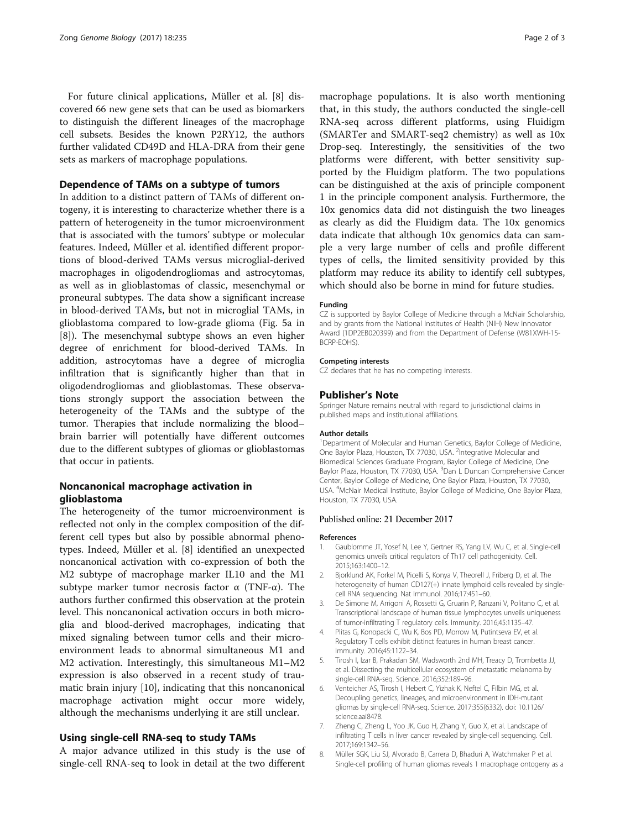<span id="page-1-0"></span>For future clinical applications, Müller et al. [8] discovered 66 new gene sets that can be used as biomarkers to distinguish the different lineages of the macrophage cell subsets. Besides the known P2RY12, the authors further validated CD49D and HLA-DRA from their gene sets as markers of macrophage populations.

## Dependence of TAMs on a subtype of tumors

In addition to a distinct pattern of TAMs of different ontogeny, it is interesting to characterize whether there is a pattern of heterogeneity in the tumor microenvironment that is associated with the tumors' subtype or molecular features. Indeed, Müller et al. identified different proportions of blood-derived TAMs versus microglial-derived macrophages in oligodendrogliomas and astrocytomas, as well as in glioblastomas of classic, mesenchymal or proneural subtypes. The data show a significant increase in blood-derived TAMs, but not in microglial TAMs, in glioblastoma compared to low-grade glioma (Fig. 5a in [8]). The mesenchymal subtype shows an even higher degree of enrichment for blood-derived TAMs. In addition, astrocytomas have a degree of microglia infiltration that is significantly higher than that in oligodendrogliomas and glioblastomas. These observations strongly support the association between the heterogeneity of the TAMs and the subtype of the tumor. Therapies that include normalizing the blood– brain barrier will potentially have different outcomes due to the different subtypes of gliomas or glioblastomas that occur in patients.

# Noncanonical macrophage activation in glioblastoma

The heterogeneity of the tumor microenvironment is reflected not only in the complex composition of the different cell types but also by possible abnormal phenotypes. Indeed, Müller et al. [8] identified an unexpected noncanonical activation with co-expression of both the M2 subtype of macrophage marker IL10 and the M1 subtype marker tumor necrosis factor  $\alpha$  (TNF- $\alpha$ ). The authors further confirmed this observation at the protein level. This noncanonical activation occurs in both microglia and blood-derived macrophages, indicating that mixed signaling between tumor cells and their microenvironment leads to abnormal simultaneous M1 and M2 activation. Interestingly, this simultaneous M1–M2 expression is also observed in a recent study of traumatic brain injury [[10\]](#page-2-0), indicating that this noncanonical macrophage activation might occur more widely, although the mechanisms underlying it are still unclear.

### Using single-cell RNA-seq to study TAMs

A major advance utilized in this study is the use of single-cell RNA-seq to look in detail at the two different

macrophage populations. It is also worth mentioning that, in this study, the authors conducted the single-cell RNA-seq across different platforms, using Fluidigm (SMARTer and SMART-seq2 chemistry) as well as 10x Drop-seq. Interestingly, the sensitivities of the two platforms were different, with better sensitivity supported by the Fluidigm platform. The two populations can be distinguished at the axis of principle component 1 in the principle component analysis. Furthermore, the 10x genomics data did not distinguish the two lineages as clearly as did the Fluidigm data. The 10x genomics data indicate that although 10x genomics data can sample a very large number of cells and profile different types of cells, the limited sensitivity provided by this platform may reduce its ability to identify cell subtypes, which should also be borne in mind for future studies.

#### Funding

CZ is supported by Baylor College of Medicine through a McNair Scholarship, and by grants from the National Institutes of Health (NIH) New Innovator Award (1DP2EB020399) and from the Department of Defense (W81XWH-15- BCRP-EOHS).

#### Competing interests

CZ declares that he has no competing interests.

#### Publisher's Note

Springer Nature remains neutral with regard to jurisdictional claims in published maps and institutional affiliations.

#### Author details

<sup>1</sup>Department of Molecular and Human Genetics, Baylor College of Medicine, One Baylor Plaza, Houston, TX 77030, USA. <sup>2</sup>Integrative Molecular and Biomedical Sciences Graduate Program, Baylor College of Medicine, One Baylor Plaza, Houston, TX 77030, USA. <sup>3</sup>Dan L Duncan Comprehensive Cancer Center, Baylor College of Medicine, One Baylor Plaza, Houston, TX 77030, USA. <sup>4</sup>McNair Medical Institute, Baylor College of Medicine, One Baylor Plaza, Houston, TX 77030, USA.

#### Published online: 21 December 2017

#### References

- 1. Gaublomme JT, Yosef N, Lee Y, Gertner RS, Yang LV, Wu C, et al. Single-cell genomics unveils critical regulators of Th17 cell pathogenicity. Cell. 2015;163:1400–12.
- 2. Bjorklund AK, Forkel M, Picelli S, Konya V, Theorell J, Friberg D, et al. The heterogeneity of human CD127(+) innate lymphoid cells revealed by singlecell RNA sequencing. Nat Immunol. 2016;17:451–60.
- 3. De Simone M, Arrigoni A, Rossetti G, Gruarin P, Ranzani V, Politano C, et al. Transcriptional landscape of human tissue lymphocytes unveils uniqueness of tumor-infiltrating T regulatory cells. Immunity. 2016;45:1135–47.
- 4. Plitas G, Konopacki C, Wu K, Bos PD, Morrow M, Putintseva EV, et al. Regulatory T cells exhibit distinct features in human breast cancer. Immunity. 2016;45:1122–34.
- 5. Tirosh I, Izar B, Prakadan SM, Wadsworth 2nd MH, Treacy D, Trombetta JJ, et al. Dissecting the multicellular ecosystem of metastatic melanoma by single-cell RNA-seq. Science. 2016;352:189–96.
- 6. Venteicher AS, Tirosh I, Hebert C, Yizhak K, Neftel C, Filbin MG, et al. Decoupling genetics, lineages, and microenvironment in IDH-mutant gliomas by single-cell RNA-seq. Science. 2017;355(6332). doi: [10.1126/](http://dx.doi.org/10.1126/science.aai8478) [science.aai8478](http://dx.doi.org/10.1126/science.aai8478).
- 7. Zheng C, Zheng L, Yoo JK, Guo H, Zhang Y, Guo X, et al. Landscape of infiltrating T cells in liver cancer revealed by single-cell sequencing. Cell. 2017;169:1342–56.
- 8. Müller SGK, Liu SJ, Alvorado B, Carrera D, Bhaduri A, Watchmaker P et al. Single-cell profiling of human gliomas reveals 1 macrophage ontogeny as a